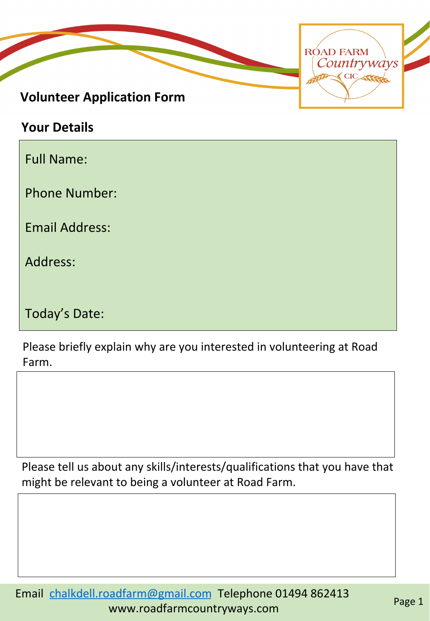

**Your Details** 

Full Name:

Phone Number:

Email Address:

Address: 

Today's Date:

Please briefly explain why are you interested in volunteering at Road Farm. 

Please tell us about any skills/interests/qualifications that you have that might be relevant to being a volunteer at Road Farm.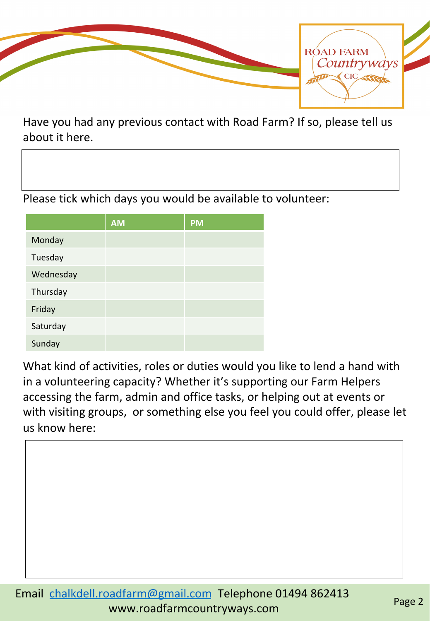

Have you had any previous contact with Road Farm? If so, please tell us about it here.

Please tick which days you would be available to volunteer:

|           | <b>AM</b> | <b>PM</b> |
|-----------|-----------|-----------|
| Monday    |           |           |
| Tuesday   |           |           |
| Wednesday |           |           |
| Thursday  |           |           |
| Friday    |           |           |
| Saturday  |           |           |
| Sunday    |           |           |

What kind of activities, roles or duties would you like to lend a hand with in a volunteering capacity? Whether it's supporting our Farm Helpers accessing the farm, admin and office tasks, or helping out at events or with visiting groups, or something else you feel you could offer, please let us know here: